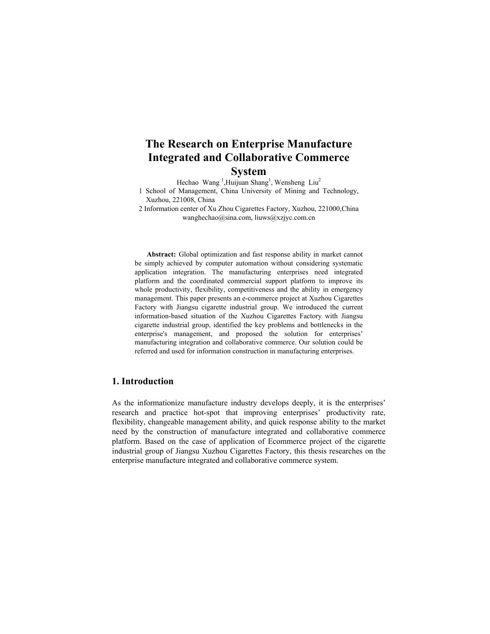# **The Research on Enterprise Manufacture Integrated and Collaborative Commerce System**

Hechao Wang<sup>1</sup>, Huijuan Shang<sup>1</sup>, Wensheng Liu<sup>2</sup>

1 School of Management, China University of Mining and Technology, Xuzhou, 221008, China

2 Information center of Xu Zhou Cigarettes Factory, Xuzhou, 221000,China wanghechao@sina.com, liuws@xzjyc.com.cn

**Abstract:** Global optimization and fast response ability in market cannot be simply achieved by computer automation without considering systematic application integration. The manufacturing enterprises need integrated platform and the coordinated commercial support platform to improve its whole productivity, flexibility, competitiveness and the ability in emergency management. This paper presents an e-commerce project at Xuzhou Cigarettes Factory with Jiangsu cigarette industrial group. We introduced the current information-based situation of the Xuzhou Cigarettes Factory with Jiangsu cigarette industrial group, identified the key problems and bottlenecks in the enterprise's management, and proposed the solution for enterprises' manufacturing integration and collaborative commerce. Our solution could be referred and used for information construction in manufacturing enterprises.

### **1. Introduction**

As the informationize manufacture industry develops deeply, it is the enterprises' research and practice hot-spot that improving enterprises' productivity rate, flexibility, changeable management ability, and quick response ability to the market need by the construction of manufacture integrated and collaborative commerce platform. Based on the case of application of Ecommerce project of the cigarette industrial group of Jiangsu Xuzhou Cigarettes Factory, this thesis researches on the enterprise manufacture integrated and collaborative commerce system.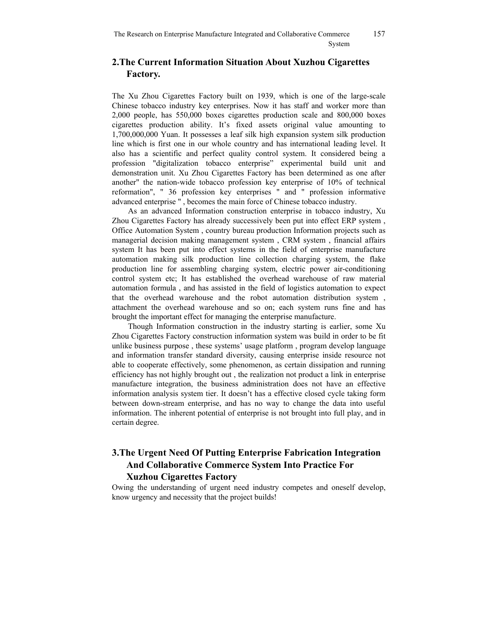# **2.The Current Information Situation About Xuzhou Cigarettes Factory.**

The Xu Zhou Cigarettes Factory built on 1939, which is one of the large-scale Chinese tobacco industry key enterprises. Now it has staff and worker more than 2,000 people, has 550,000 boxes cigarettes production scale and 800,000 boxes cigarettes production ability. It's fixed assets original value amounting to 1,700,000,000 Yuan. It possesses a leaf silk high expansion system silk production line which is first one in our whole country and has international leading level. It also has a scientific and perfect quality control system. It considered being a profession "digitalization tobacco enterprise" experimental build unit and demonstration unit. Xu Zhou Cigarettes Factory has been determined as one after another" the nation-wide tobacco profession key enterprise of 10% of technical reformation", " 36 profession key enterprises " and " profession informative advanced enterprise " , becomes the main force of Chinese tobacco industry.

As an advanced Information construction enterprise in tobacco industry, Xu Zhou Cigarettes Factory has already successively been put into effect ERP system , Office Automation System , country bureau production Information projects such as managerial decision making management system , CRM system , financial affairs system It has been put into effect systems in the field of enterprise manufacture automation making silk production line collection charging system, the flake production line for assembling charging system, electric power air-conditioning control system etc; It has established the overhead warehouse of raw material automation formula , and has assisted in the field of logistics automation to expect that the overhead warehouse and the robot automation distribution system , attachment the overhead warehouse and so on; each system runs fine and has brought the important effect for managing the enterprise manufacture.

Though Information construction in the industry starting is earlier, some Xu Zhou Cigarettes Factory construction information system was build in order to be fit unlike business purpose , these systems' usage platform , program develop language and information transfer standard diversity, causing enterprise inside resource not able to cooperate effectively, some phenomenon, as certain dissipation and running efficiency has not highly brought out , the realization not product a link in enterprise manufacture integration, the business administration does not have an effective information analysis system tier. It doesn't has a effective closed cycle taking form between down-stream enterprise, and has no way to change the data into useful information. The inherent potential of enterprise is not brought into full play, and in certain degree.

# **3.The Urgent Need Of Putting Enterprise Fabrication Integration And Collaborative Commerce System Into Practice For Xuzhou Cigarettes Factory**

Owing the understanding of urgent need industry competes and oneself develop, know urgency and necessity that the project builds!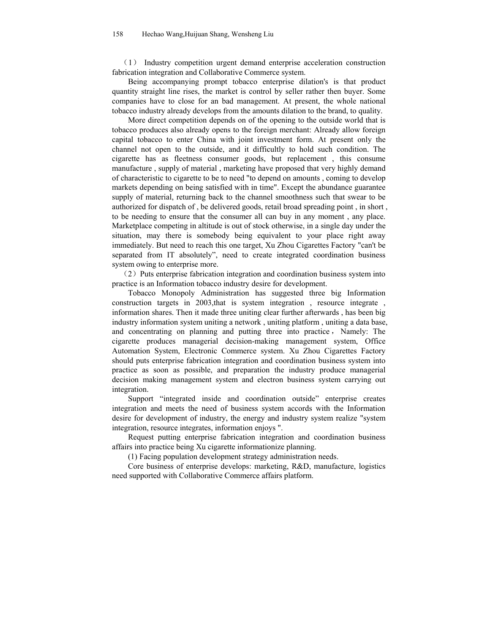˄1˅ Industry competition urgent demand enterprise acceleration construction fabrication integration and Collaborative Commerce system.

Being accompanying prompt tobacco enterprise dilation's is that product quantity straight line rises, the market is control by seller rather then buyer. Some companies have to close for an bad management. At present, the whole national tobacco industry already develops from the amounts dilation to the brand, to quality.

More direct competition depends on of the opening to the outside world that is tobacco produces also already opens to the foreign merchant: Already allow foreign capital tobacco to enter China with joint investment form. At present only the channel not open to the outside, and it difficultly to hold such condition. The cigarette has as fleetness consumer goods, but replacement , this consume manufacture , supply of material , marketing have proposed that very highly demand of characteristic to cigarette to be to need "to depend on amounts , coming to develop markets depending on being satisfied with in time". Except the abundance guarantee supply of material, returning back to the channel smoothness such that swear to be authorized for dispatch of , be delivered goods, retail broad spreading point , in short , to be needing to ensure that the consumer all can buy in any moment , any place. Marketplace competing in altitude is out of stock otherwise, in a single day under the situation, may there is somebody being equivalent to your place right away immediately. But need to reach this one target, Xu Zhou Cigarettes Factory "can't be separated from IT absolutely", need to create integrated coordination business system owing to enterprise more.

˄2˅Puts enterprise fabrication integration and coordination business system into practice is an Information tobacco industry desire for development.

Tobacco Monopoly Administration has suggested three big Information construction targets in 2003,that is system integration , resource integrate , information shares. Then it made three uniting clear further afterwards , has been big industry information system uniting a network , uniting platform , uniting a data base, and concentrating on planning and putting three into practice, Namely: The cigarette produces managerial decision-making management system, Office Automation System, Electronic Commerce system. Xu Zhou Cigarettes Factory should puts enterprise fabrication integration and coordination business system into practice as soon as possible, and preparation the industry produce managerial decision making management system and electron business system carrying out integration.

Support "integrated inside and coordination outside" enterprise creates integration and meets the need of business system accords with the Information desire for development of industry, the energy and industry system realize "system integration, resource integrates, information enjoys ".

Request putting enterprise fabrication integration and coordination business affairs into practice being Xu cigarette informationize planning.

(1) Facing population development strategy administration needs.

Core business of enterprise develops: marketing, R&D, manufacture, logistics need supported with Collaborative Commerce affairs platform.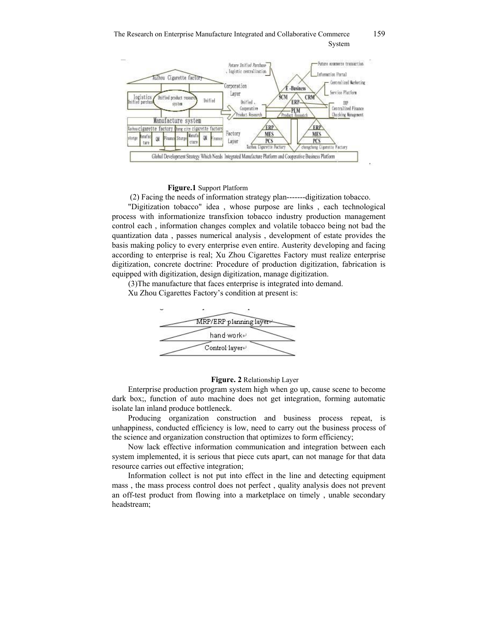#### The Research on Enterprise Manufacture Integrated and Collaborative Commerce System 159



**Figure.1** Support Platform

(2) Facing the needs of information strategy plan-------digitization tobacco.

"Digitization tobacco" idea , whose purpose are links , each technological process with informationize transfixion tobacco industry production management control each , information changes complex and volatile tobacco being not bad the quantization data , passes numerical analysis , development of estate provides the basis making policy to every enterprise even entire. Austerity developing and facing according to enterprise is real; Xu Zhou Cigarettes Factory must realize enterprise digitization, concrete doctrine: Procedure of production digitization, fabrication is equipped with digitization, design digitization, manage digitization.

(3)The manufacture that faces enterprise is integrated into demand.

Xu Zhou Cigarettes Factory's condition at present is:





Enterprise production program system high when go up, cause scene to become dark box;, function of auto machine does not get integration, forming automatic isolate lan inland produce bottleneck.

Producing organization construction and business process repeat, is unhappiness, conducted efficiency is low, need to carry out the business process of the science and organization construction that optimizes to form efficiency;

Now lack effective information communication and integration between each system implemented, it is serious that piece cuts apart, can not manage for that data resource carries out effective integration;

Information collect is not put into effect in the line and detecting equipment mass , the mass process control does not perfect , quality analysis does not prevent an off-test product from flowing into a marketplace on timely , unable secondary headstream;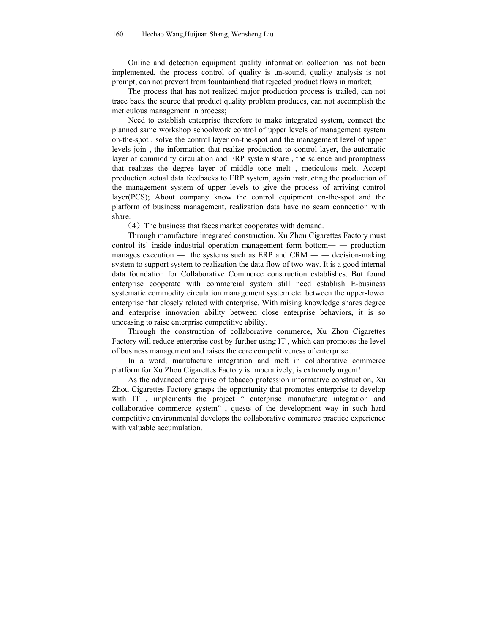Online and detection equipment quality information collection has not been implemented, the process control of quality is un-sound, quality analysis is not prompt, can not prevent from fountainhead that rejected product flows in market;

The process that has not realized major production process is trailed, can not trace back the source that product quality problem produces, can not accomplish the meticulous management in process;

Need to establish enterprise therefore to make integrated system, connect the planned same workshop schoolwork control of upper levels of management system on-the-spot , solve the control layer on-the-spot and the management level of upper levels join , the information that realize production to control layer, the automatic layer of commodity circulation and ERP system share , the science and promptness that realizes the degree layer of middle tone melt , meticulous melt. Accept production actual data feedbacks to ERP system, again instructing the production of the management system of upper levels to give the process of arriving control layer(PCS); About company know the control equipment on-the-spot and the platform of business management, realization data have no seam connection with share.

˄4˅The business that faces market cooperates with demand.

Through manufacture integrated construction, Xu Zhou Cigarettes Factory must control its' inside industrial operation management form bottom $-$  production manages execution  $-$  the systems such as ERP and CRM  $-$  decision-making system to support system to realization the data flow of two-way. It is a good internal data foundation for Collaborative Commerce construction establishes. But found enterprise cooperate with commercial system still need establish E-business systematic commodity circulation management system etc. between the upper-lower enterprise that closely related with enterprise. With raising knowledge shares degree and enterprise innovation ability between close enterprise behaviors, it is so unceasing to raise enterprise competitive ability.

Through the construction of collaborative commerce, Xu Zhou Cigarettes Factory will reduce enterprise cost by further using IT , which can promotes the level of business management and raises the core competitiveness of enterprise .

In a word, manufacture integration and melt in collaborative commerce platform for Xu Zhou Cigarettes Factory is imperatively, is extremely urgent!

As the advanced enterprise of tobacco profession informative construction, Xu Zhou Cigarettes Factory grasps the opportunity that promotes enterprise to develop with IT, implements the project " enterprise manufacture integration and collaborative commerce system" , quests of the development way in such hard competitive environmental develops the collaborative commerce practice experience with valuable accumulation.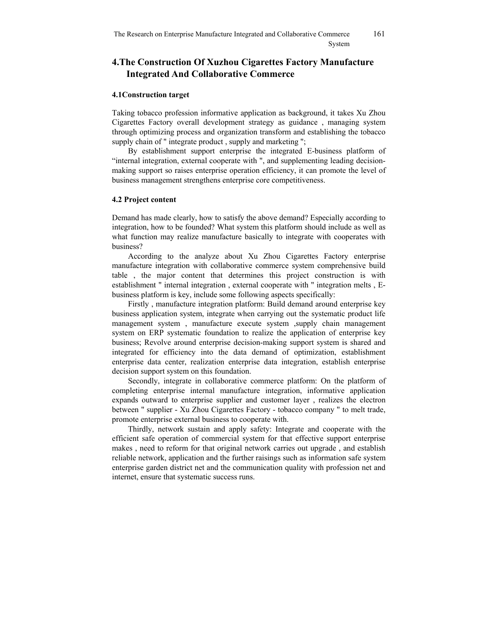# **4.The Construction Of Xuzhou Cigarettes Factory Manufacture Integrated And Collaborative Commerce**

#### **4.1Construction target**

Taking tobacco profession informative application as background, it takes Xu Zhou Cigarettes Factory overall development strategy as guidance , managing system through optimizing process and organization transform and establishing the tobacco supply chain of " integrate product, supply and marketing ";

By establishment support enterprise the integrated E-business platform of "internal integration, external cooperate with ", and supplementing leading decisionmaking support so raises enterprise operation efficiency, it can promote the level of business management strengthens enterprise core competitiveness.

#### **4.2 Project content**

Demand has made clearly, how to satisfy the above demand? Especially according to integration, how to be founded? What system this platform should include as well as what function may realize manufacture basically to integrate with cooperates with business?

According to the analyze about Xu Zhou Cigarettes Factory enterprise manufacture integration with collaborative commerce system comprehensive build table , the major content that determines this project construction is with establishment " internal integration , external cooperate with " integration melts , Ebusiness platform is key, include some following aspects specifically:

Firstly , manufacture integration platform: Build demand around enterprise key business application system, integrate when carrying out the systematic product life management system , manufacture execute system ,supply chain management system on ERP systematic foundation to realize the application of enterprise key business; Revolve around enterprise decision-making support system is shared and integrated for efficiency into the data demand of optimization, establishment enterprise data center, realization enterprise data integration, establish enterprise decision support system on this foundation.

Secondly, integrate in collaborative commerce platform: On the platform of completing enterprise internal manufacture integration, informative application expands outward to enterprise supplier and customer layer , realizes the electron between " supplier - Xu Zhou Cigarettes Factory - tobacco company " to melt trade, promote enterprise external business to cooperate with.

Thirdly, network sustain and apply safety: Integrate and cooperate with the efficient safe operation of commercial system for that effective support enterprise makes , need to reform for that original network carries out upgrade , and establish reliable network, application and the further raisings such as information safe system enterprise garden district net and the communication quality with profession net and internet, ensure that systematic success runs.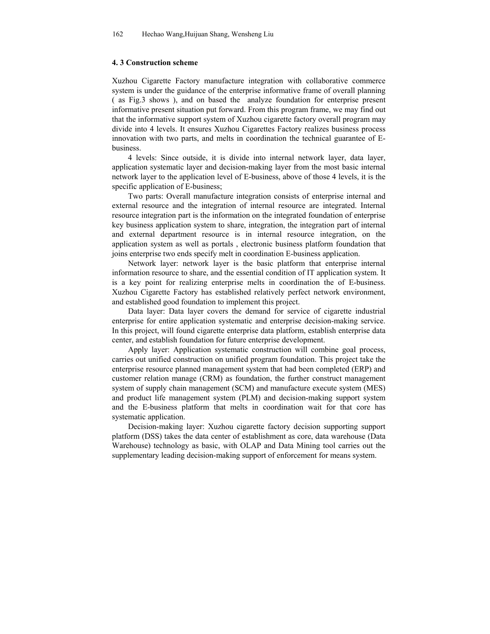#### **4. 3 Construction scheme**

Xuzhou Cigarette Factory manufacture integration with collaborative commerce system is under the guidance of the enterprise informative frame of overall planning ( as Fig.3 shows ), and on based the analyze foundation for enterprise present informative present situation put forward. From this program frame, we may find out that the informative support system of Xuzhou cigarette factory overall program may divide into 4 levels. It ensures Xuzhou Cigarettes Factory realizes business process innovation with two parts, and melts in coordination the technical guarantee of Ebusiness.

4 levels: Since outside, it is divide into internal network layer, data layer, application systematic layer and decision-making layer from the most basic internal network layer to the application level of E-business, above of those 4 levels, it is the specific application of E-business;

Two parts: Overall manufacture integration consists of enterprise internal and external resource and the integration of internal resource are integrated. Internal resource integration part is the information on the integrated foundation of enterprise key business application system to share, integration, the integration part of internal and external department resource is in internal resource integration, on the application system as well as portals , electronic business platform foundation that joins enterprise two ends specify melt in coordination E-business application.

Network layer: network layer is the basic platform that enterprise internal information resource to share, and the essential condition of IT application system. It is a key point for realizing enterprise melts in coordination the of E-business. Xuzhou Cigarette Factory has established relatively perfect network environment, and established good foundation to implement this project.

Data layer: Data layer covers the demand for service of cigarette industrial enterprise for entire application systematic and enterprise decision-making service. In this project, will found cigarette enterprise data platform, establish enterprise data center, and establish foundation for future enterprise development.

Apply layer: Application systematic construction will combine goal process, carries out unified construction on unified program foundation. This project take the enterprise resource planned management system that had been completed (ERP) and customer relation manage (CRM) as foundation, the further construct management system of supply chain management (SCM) and manufacture execute system (MES) and product life management system (PLM) and decision-making support system and the E-business platform that melts in coordination wait for that core has systematic application.

Decision-making layer: Xuzhou cigarette factory decision supporting support platform (DSS) takes the data center of establishment as core, data warehouse (Data Warehouse) technology as basic, with OLAP and Data Mining tool carries out the supplementary leading decision-making support of enforcement for means system.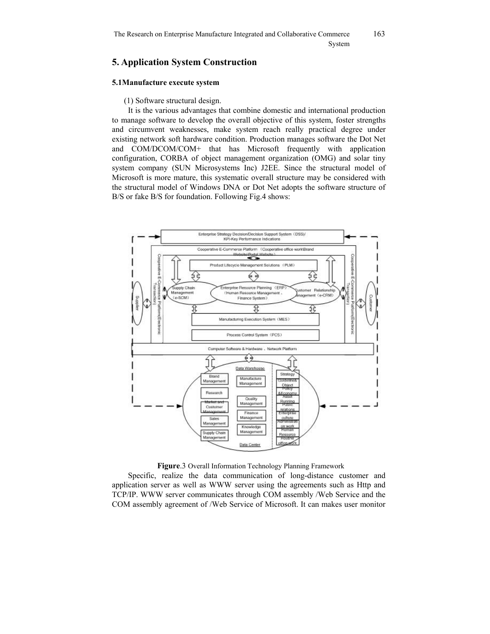### **5. Application System Construction**

### **5.1Manufacture execute system**

#### (1) Software structural design.

It is the various advantages that combine domestic and international production to manage software to develop the overall objective of this system, foster strengths and circumvent weaknesses, make system reach really practical degree under existing network soft hardware condition. Production manages software the Dot Net and COM/DCOM/COM+ that has Microsoft frequently with application configuration, CORBA of object management organization (OMG) and solar tiny system company (SUN Microsystems Inc) J2EE. Since the structural model of Microsoft is more mature, this systematic overall structure may be considered with the structural model of Windows DNA or Dot Net adopts the software structure of B/S or fake B/S for foundation. Following Fig.4 shows:



**Figure**.3 Overall Information Technology Planning Framework

Specific, realize the data communication of long-distance customer and application server as well as WWW server using the agreements such as Http and TCP/IP. WWW server communicates through COM assembly /Web Service and the COM assembly agreement of /Web Service of Microsoft. It can makes user monitor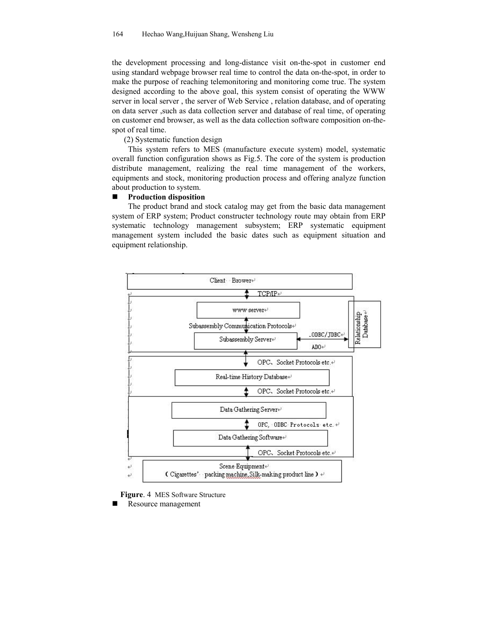the development processing and long-distance visit on-the-spot in customer end using standard webpage browser real time to control the data on-the-spot, in order to make the purpose of reaching telemonitoring and monitoring come true. The system designed according to the above goal, this system consist of operating the WWW server in local server , the server of Web Service , relation database, and of operating on data server ,such as data collection server and database of real time, of operating on customer end browser, as well as the data collection software composition on-thespot of real time.

(2) Systematic function design

This system refers to MES (manufacture execute system) model, systematic overall function configuration shows as Fig.5. The core of the system is production distribute management, realizing the real time management of the workers, equipments and stock, monitoring production process and offering analyze function about production to system.

#### **Production disposition**

The product brand and stock catalog may get from the basic data management system of ERP system; Product constructer technology route may obtain from ERP systematic technology management subsystem; ERP systematic equipment management system included the basic dates such as equipment situation and equipment relationship.





Resource management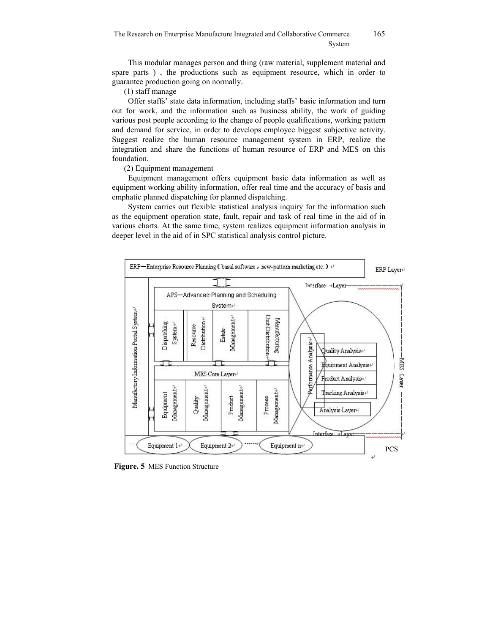This modular manages person and thing (raw material, supplement material and spare parts ) , the productions such as equipment resource, which in order to guarantee production going on normally.

(1) staff manage

Offer staffs' state data information, including staffs' basic information and turn out for work, and the information such as business ability, the work of guiding various post people according to the change of people qualifications, working pattern and demand for service, in order to develops employee biggest subjective activity. Suggest realize the human resource management system in ERP, realize the integration and share the functions of human resource of ERP and MES on this foundation.

(2) Equipment management

Equipment management offers equipment basic data information as well as equipment working ability information, offer real time and the accuracy of basis and emphatic planned dispatching for planned dispatching.

System carries out flexible statistical analysis inquiry for the information such as the equipment operation state, fault, repair and task of real time in the aid of in various charts. At the same time, system realizes equipment information analysis in deeper level in the aid of in SPC statistical analysis control picture.



Figure. 5 MES Function Structure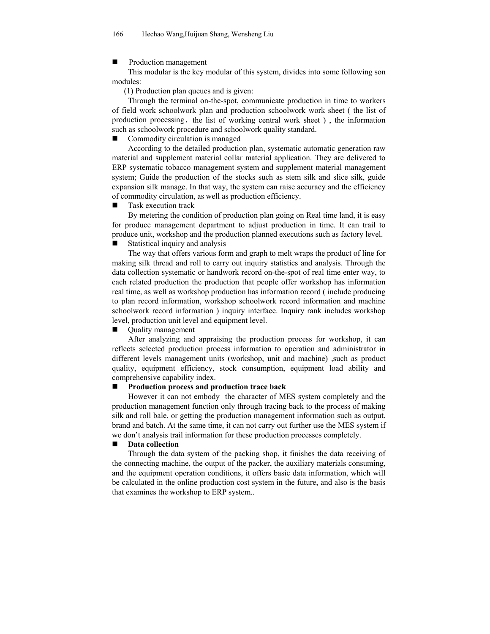#### **Production management**

This modular is the key modular of this system, divides into some following son modules:

(1) Production plan queues and is given:

Through the terminal on-the-spot, communicate production in time to workers of field work schoolwork plan and production schoolwork work sheet ( the list of production processing, the list of working central work sheet), the information such as schoolwork procedure and schoolwork quality standard.

■ Commodity circulation is managed

According to the detailed production plan, systematic automatic generation raw material and supplement material collar material application. They are delivered to ERP systematic tobacco management system and supplement material management system; Guide the production of the stocks such as stem silk and slice silk, guide expansion silk manage. In that way, the system can raise accuracy and the efficiency of commodity circulation, as well as production efficiency.

■ Task execution track

By metering the condition of production plan going on Real time land, it is easy for produce management department to adjust production in time. It can trail to produce unit, workshop and the production planned executions such as factory level.

Statistical inquiry and analysis

The way that offers various form and graph to melt wraps the product of line for making silk thread and roll to carry out inquiry statistics and analysis. Through the data collection systematic or handwork record on-the-spot of real time enter way, to each related production the production that people offer workshop has information real time, as well as workshop production has information record ( include producing to plan record information, workshop schoolwork record information and machine schoolwork record information ) inquiry interface. Inquiry rank includes workshop level, production unit level and equipment level.

Quality management

After analyzing and appraising the production process for workshop, it can reflects selected production process information to operation and administrator in different levels management units (workshop, unit and machine) ,such as product quality, equipment efficiency, stock consumption, equipment load ability and comprehensive capability index.

#### **Production process and production trace back**

However it can not embody the character of MES system completely and the production management function only through tracing back to the process of making silk and roll bale, or getting the production management information such as output, brand and batch. At the same time, it can not carry out further use the MES system if we don't analysis trail information for these production processes completely.

### ■ **Data collection**

Through the data system of the packing shop, it finishes the data receiving of the connecting machine, the output of the packer, the auxiliary materials consuming, and the equipment operation conditions, it offers basic data information, which will be calculated in the online production cost system in the future, and also is the basis that examines the workshop to ERP system..